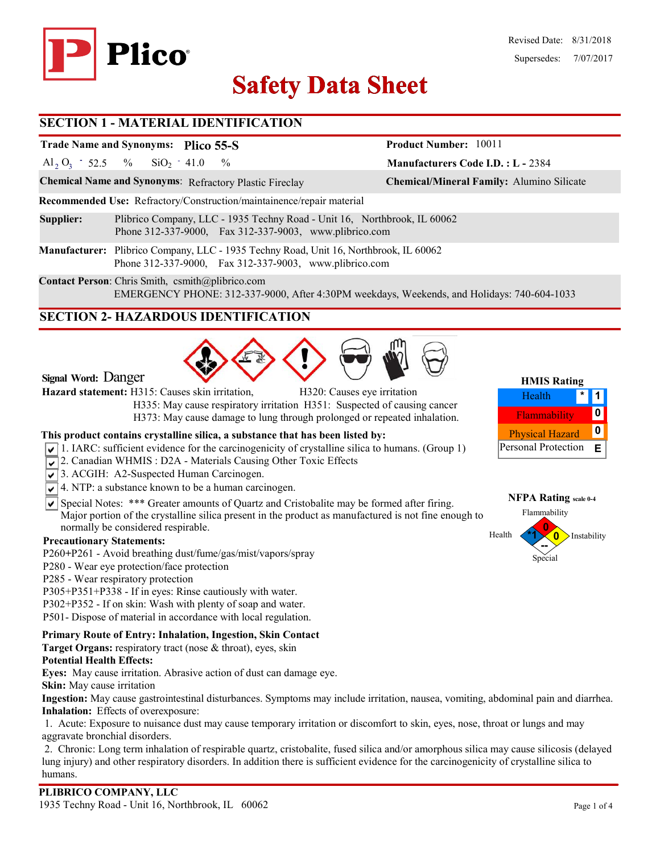

#### Revised Date: 8/31/2018 Supersedes: 7/07/2017

**Manufacturers Code I.D. : L -** 2384

**Product Number:** 10011

# **Safety Data Sheet Safety Data**

## **SECTION 1 - MATERIAL IDENTIFICATION**

# **Trade Name and Synonyms: Plico 55-S**

Al<sub>2</sub> O<sub>3</sub> - 52.5 % SiO<sub>2</sub> - 41.0 %  $SiO<sub>2</sub> - 41.0$ 

**Chemical Name and Synonyms**: Refractory Plastic Fireclay **Chemical/Mineral Family:** Alumino Silicate

**Recommended Use:** Refractory/Construction/maintainence/repair material

- **Supplier:** Plibrico Company, LLC 1935 Techny Road Unit 16, Northbrook, IL 60062 Phone 312-337-9000, Fax 312-337-9003, www.plibrico.com
- **Manufacturer:** Plibrico Company, LLC 1935 Techny Road, Unit 16, Northbrook, IL 60062 Phone 312-337-9000, Fax 312-337-9003, www.plibrico.com

**Contact Person**: Chris Smith, csmith@plibrico.com EMERGENCY PHONE: 312-337-9000, After 4:30PM weekdays, Weekends, and Holidays: 740-604-1033

# **SECTION 2- HAZARDOUS IDENTIFICATION**



**Signal Word:** Danger

**Hazard statement:** H315: Causes skin irritation, H320: Causes eye irritation

 H335: May cause respiratory irritation H351: Suspected of causing cancer H373: May cause damage to lung through prolonged or repeated inhalation.

#### **This product contains crystalline silica, a substance that has been listed by:**

- $\sqrt{1}$ . IARC: sufficient evidence for the carcinogenicity of crystalline silica to humans. (Group 1)
- 2. Canadian WHMIS: D2A Materials Causing Other Toxic Effects
- 3. ACGIH: A2-Suspected Human Carcinogen.
- $\sqrt{4}$ . NTP: a substance known to be a human carcinogen.
- $\overline{\mathsf{S}}$  Special Notes: \*\*\* Greater amounts of Quartz and Cristobalite may be formed after firing. Major portion of the crystalline silica present in the product as manufactured is not fine enough to normally be considered respirable.

#### **Precautionary Statements:**

- P260**+**P261 Avoid breathing dust/fume/gas/mist/vapors/spray
- P280 Wear eye protection/face protection
- P285 Wear respiratory protection
- P305+P351+P338 If in eyes: Rinse cautiously with water.
- P302+P352 If on skin: Wash with plenty of soap and water.
- P501- Dispose of material in accordance with local regulation.

#### **Primary Route of Entry: Inhalation, Ingestion, Skin Contact**

**Target Organs:** respiratory tract (nose & throat), eyes, skin

#### **Potential Health Effects:**

**Eyes:** May cause irritation. Abrasive action of dust can damage eye.

**Skin:** May cause irritation

**Ingestion:** May cause gastrointestinal disturbances. Symptoms may include irritation, nausea, vomiting, abdominal pain and diarrhea. **Inhalation:** Effects of overexposure:

1. Acute: Exposure to nuisance dust may cause temporary irritation or discomfort to skin, eyes, nose, throat or lungs and may aggravate bronchial disorders.

2. Chronic: Long term inhalation of respirable quartz, cristobalite, fused silica and/or amorphous silica may cause silicosis (delayed lung injury) and other respiratory disorders. In addition there is sufficient evidence for the carcinogenicity of crystalline silica to humans.

#### **HMIS Rating 1** Flammability **0 \*** Physical Hazard **0** Personal Protection **E** Health

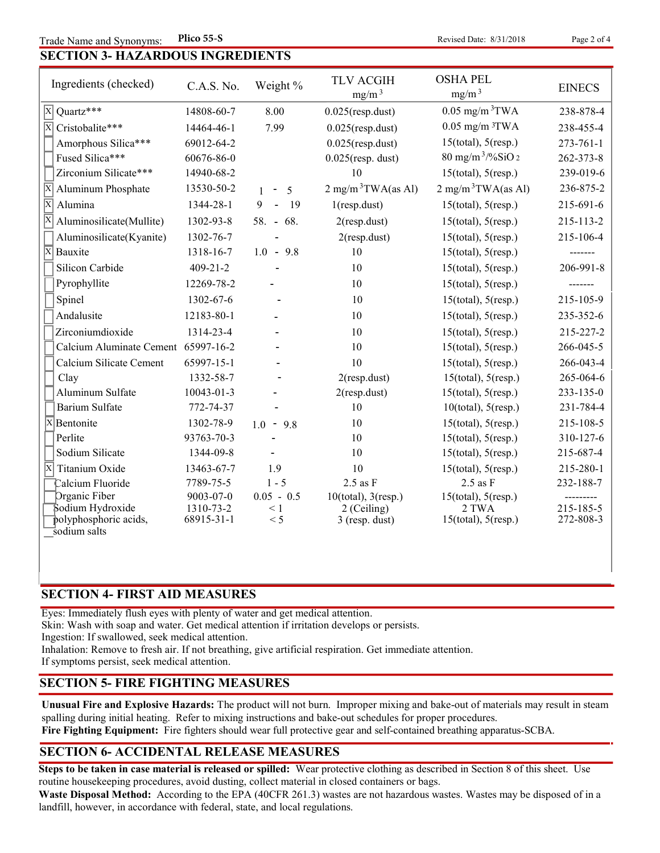**Revised Date: 8/31/2018** 

| <b>SECTION 3- HAZARDOUS INGREDIENTS</b> |
|-----------------------------------------|
|-----------------------------------------|

| Ingredients (checked)                      | C.A.S. No.     | Weight %                    | <b>TLV ACGIH</b><br>mg/m <sup>3</sup> | <b>OSHA PEL</b><br>mg/m <sup>3</sup> | <b>EINECS</b>   |
|--------------------------------------------|----------------|-----------------------------|---------------------------------------|--------------------------------------|-----------------|
| Quartz***<br>$\vert \mathrm{X} \vert$      | 14808-60-7     | 8.00                        | $0.025$ (resp.dust)                   | $0.05$ mg/m <sup>3</sup> TWA         | 238-878-4       |
| $\overline{\mathrm{x}}$<br>Cristobalite*** | 14464-46-1     | 7.99                        | $0.025$ (resp.dust)                   | $0.05$ mg/m $3TWA$                   | 238-455-4       |
| Amorphous Silica***                        | 69012-64-2     |                             | $0.025$ (resp.dust)                   | $15$ (total), $5$ (resp.)            | $273 - 761 - 1$ |
| Fused Silica***                            | 60676-86-0     |                             | $0.025$ (resp. dust)                  | $80$ mg/m <sup>3</sup> /%SiO 2       | 262-373-8       |
| Zirconium Silicate***                      | 14940-68-2     |                             | 10                                    | $15$ (total), $5$ (resp.)            | 239-019-6       |
| X<br>Aluminum Phosphate                    | 13530-50-2     | 5<br>$\sim$<br>$\mathbf{1}$ | $2 \text{ mg/m}^3$ TWA(as Al)         | $2 \text{ mg/m}^3$ TWA(as Al)        | 236-875-2       |
| $\overline{\mathrm{x}}$<br>Alumina         | 1344-28-1      | 9<br>$\blacksquare$<br>19   | $1$ (resp.dust)                       | $15$ (total), $5$ (resp.)            | 215-691-6       |
| Aluminosilicate(Mullite)                   | 1302-93-8      | 58. - 68.                   | $2$ (resp.dust)                       | $15$ (total), $5$ (resp.)            | 215-113-2       |
| Aluminosilicate(Kyanite)                   | 1302-76-7      |                             | $2$ (resp.dust)                       | $15$ (total), $5$ (resp.)            | 215-106-4       |
| ΙX<br>Bauxite                              | 1318-16-7      | $1.0 - 9.8$                 | 10                                    | $15$ (total), $5$ (resp.)            |                 |
| Silicon Carbide                            | $409 - 21 - 2$ |                             | 10                                    | $15$ (total), $5$ (resp.)            | 206-991-8       |
| Pyrophyllite                               | 12269-78-2     |                             | 10                                    | $15$ (total), $5$ (resp.)            |                 |
| Spinel                                     | 1302-67-6      |                             | 10                                    | $15$ (total), $5$ (resp.)            | 215-105-9       |
| Andalusite                                 | 12183-80-1     |                             | 10                                    | $15$ (total), $5$ (resp.)            | 235-352-6       |
| Zirconiumdioxide                           | 1314-23-4      |                             | 10                                    | $15$ (total), $5$ (resp.)            | 215-227-2       |
| Calcium Aluminate Cement 65997-16-2        |                |                             | 10                                    | $15$ (total), $5$ (resp.)            | 266-045-5       |
| Calcium Silicate Cement                    | 65997-15-1     |                             | 10                                    | $15$ (total), $5$ (resp.)            | 266-043-4       |
| Clay                                       | 1332-58-7      |                             | $2$ (resp.dust)                       | $15$ (total), $5$ (resp.)            | 265-064-6       |
| Aluminum Sulfate                           | 10043-01-3     |                             | $2$ (resp.dust)                       | $15$ (total), $5$ (resp.)            | 233-135-0       |
| <b>Barium Sulfate</b>                      | 772-74-37      |                             | 10                                    | $10$ (total), $5$ (resp.)            | 231-784-4       |
| $X$ Bentonite                              | 1302-78-9      | $1.0 - 9.8$                 | 10                                    | $15$ (total), $5$ (resp.)            | 215-108-5       |
| Perlite                                    | 93763-70-3     |                             | 10                                    | $15$ (total), $5$ (resp.)            | 310-127-6       |
| Sodium Silicate                            | 1344-09-8      |                             | 10                                    | $15$ (total), $5$ (resp.)            | 215-687-4       |
| $\overline{\mathbf{x}}$<br>Titanium Oxide  | 13463-67-7     | 1.9                         | 10                                    | $15$ (total), $5$ (resp.)            | 215-280-1       |
| Calcium Fluoride                           | 7789-75-5      | $1 - 5$                     | $2.5$ as $F$                          | $2.5$ as $F$                         | 232-188-7       |
| Organic Fiber                              | 9003-07-0      | $0.05 - 0.5$                | $10$ (total), $3$ (resp.)             | $15$ (total), $5$ (resp.)            |                 |
| Sodium Hydroxide                           | 1310-73-2      | $\leq 1$                    | 2 (Ceiling)                           | 2 TWA                                | 215-185-5       |
| polyphosphoric acids,<br>sodium salts      | 68915-31-1     | < 5                         | $3$ (resp. dust)                      | $15$ (total), $5$ (resp.)            | 272-808-3       |

## **SECTION 4- FIRST AID MEASURES**

Eyes: Immediately flush eyes with plenty of water and get medical attention.

Skin: Wash with soap and water. Get medical attention if irritation develops or persists.

Ingestion: If swallowed, seek medical attention.

Inhalation: Remove to fresh air. If not breathing, give artificial respiration. Get immediate attention.

If symptoms persist, seek medical attention.

#### **SECTION 5- FIRE FIGHTING MEASURES**

**Unusual Fire and Explosive Hazards:** The product will not burn. Improper mixing and bake-out of materials may result in steam spalling during initial heating. Refer to mixing instructions and bake-out schedules for proper procedures. **Fire Fighting Equipment:** Fire fighters should wear full protective gear and self-contained breathing apparatus-SCBA.

## **SECTION 6- ACCIDENTAL RELEASE MEASURES**

**Steps to be taken in case material is released or spilled:** Wear protective clothing as described in Section 8 of this sheet. Use routine housekeeping procedures, avoid dusting, collect material in closed containers or bags.

**Waste Disposal Method:** According to the EPA (40CFR 261.3) wastes are not hazardous wastes. Wastes may be disposed of in a landfill, however, in accordance with federal, state, and local regulations.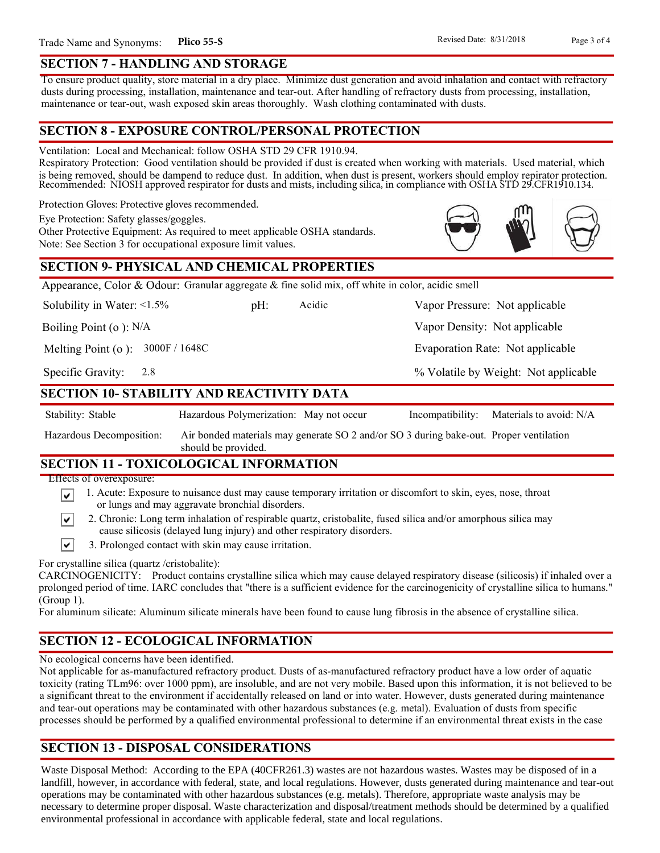#### **SECTION 7 - HANDLING AND STORAGE**

To ensure product quality, store material in a dry place. Minimize dust generation and avoid inhalation and contact with refractory dusts during processing, installation, maintenance and tear-out. After handling of refractory dusts from processing, installation, maintenance or tear-out, wash exposed skin areas thoroughly. Wash clothing contaminated with dusts.

#### **SECTION 8 - EXPOSURE CONTROL/PERSONAL PROTECTION**

Ventilation: Local and Mechanical: follow OSHA STD 29 CFR 1910.94.

Respiratory Protection: Good ventilation should be provided if dust is created when working with materials. Used material, which is being removed, should be dampend to reduce dust. In addition, when dust is present, workers should employ repirator protection. Recommended: NIOSH approved respirator for dusts and mists, including silica, in compliance with OSHA STD 29.CFR1910.134.

Protection Gloves: Protective gloves recommended.

Eye Protection: Safety glasses/goggles.

Other Protective Equipment: As required to meet applicable OSHA standards. Note: See Section 3 for occupational exposure limit values.

## **SECTION 9- PHYSICAL AND CHEMICAL PROPERTIES**

Appearance, Color & Odour: Granular aggregate & fine solid mix, off white in color, acidic smell

Solubility in Water:  $\leq 1.5\%$ 

pH: Acidic Vapor Pressure: Not applicable

Boiling Point (o ): N/A

Melting Point (o ): 3000F / 1648C

2.8 Specific Gravity:

## **SECTION 10- STABILITY AND REACTIVITY DATA**

Stability: Stable Hazardous Polymerization: May not occur Incompatibility: Materials to avoid: N/A

Acidic

Air bonded materials may generate SO 2 and/or SO 3 during bake-out. Proper ventilation should be provided. Hazardous Decomposition:

## **SECTION 11 - TOXICOLOGICAL INFORMATION**

Effects of overexposure:

- 1. Acute: Exposure to nuisance dust may cause temporary irritation or discomfort to skin, eyes, nose, throat ∣V∣ or lungs and may aggravate bronchial disorders.
- 2. Chronic: Long term inhalation of respirable quartz, cristobalite, fused silica and/or amorphous silica may ∣V∣ cause silicosis (delayed lung injury) and other respiratory disorders.
- $\vert\mathbf{v}\vert$ 3. Prolonged contact with skin may cause irritation.

For crystalline silica (quartz /cristobalite):

CARCINOGENICITY: Product contains crystalline silica which may cause delayed respiratory disease (silicosis) if inhaled over a prolonged period of time. IARC concludes that "there is a sufficient evidence for the carcinogenicity of crystalline silica to humans." (Group 1).

For aluminum silicate: Aluminum silicate minerals have been found to cause lung fibrosis in the absence of crystalline silica.

# **SECTION 12 - ECOLOGICAL INFORMATION**

No ecological concerns have been identified.

Not applicable for as-manufactured refractory product. Dusts of as-manufactured refractory product have a low order of aquatic toxicity (rating TLm96: over 1000 ppm), are insoluble, and are not very mobile. Based upon this information, it is not believed to be a significant threat to the environment if accidentally released on land or into water. However, dusts generated during maintenance and tear-out operations may be contaminated with other hazardous substances (e.g. metal). Evaluation of dusts from specific processes should be performed by a qualified environmental professional to determine if an environmental threat exists in the case

# **SECTION 13 - DISPOSAL CONSIDERATIONS**

Waste Disposal Method: According to the EPA (40CFR261.3) wastes are not hazardous wastes. Wastes may be disposed of in a landfill, however, in accordance with federal, state, and local regulations. However, dusts generated during maintenance and tear-out operations may be contaminated with other hazardous substances (e.g. metals). Therefore, appropriate waste analysis may be necessary to determine proper disposal. Waste characterization and disposal/treatment methods should be determined by a qualified environmental professional in accordance with applicable federal, state and local regulations.



Vapor Density: Not applicable

Evaporation Rate: Not applicable

% Volatile by Weight: Not applicable